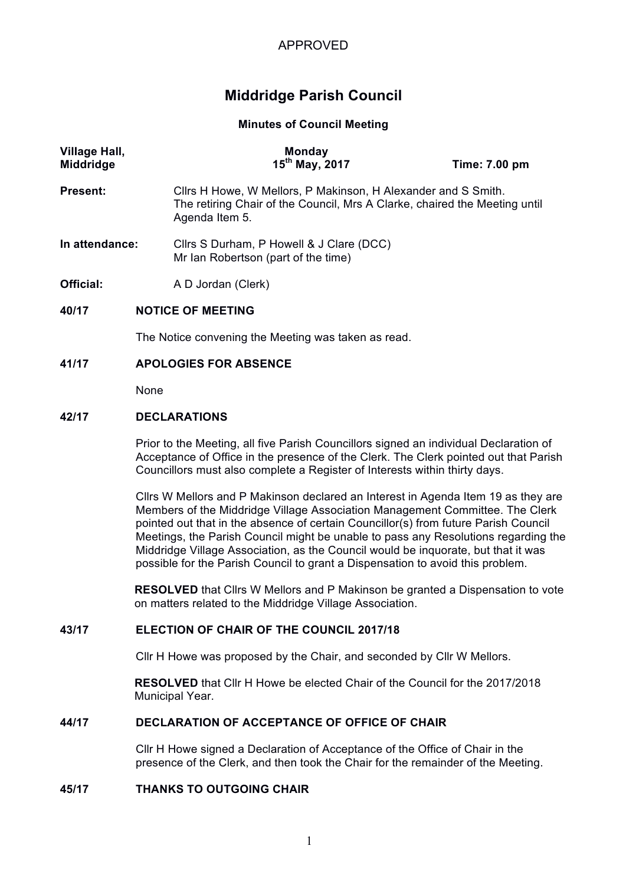# **Middridge Parish Council**

**Minutes of Council Meeting**

| Village Hall,<br>Middridge |                                                                                                                                                                                                                                                             | <b>Monday</b><br>$15^{th}$ May, 2017                                                                                                                          | Time: 7.00 pm |  |  |
|----------------------------|-------------------------------------------------------------------------------------------------------------------------------------------------------------------------------------------------------------------------------------------------------------|---------------------------------------------------------------------------------------------------------------------------------------------------------------|---------------|--|--|
| Present:                   |                                                                                                                                                                                                                                                             | Cllrs H Howe, W Mellors, P Makinson, H Alexander and S Smith.<br>The retiring Chair of the Council, Mrs A Clarke, chaired the Meeting until<br>Agenda Item 5. |               |  |  |
| In attendance:             |                                                                                                                                                                                                                                                             | Cllrs S Durham, P Howell & J Clare (DCC)<br>Mr Ian Robertson (part of the time)                                                                               |               |  |  |
| Official:                  |                                                                                                                                                                                                                                                             | A D Jordan (Clerk)                                                                                                                                            |               |  |  |
| 40/17                      |                                                                                                                                                                                                                                                             | <b>NOTICE OF MEETING</b>                                                                                                                                      |               |  |  |
|                            |                                                                                                                                                                                                                                                             | The Notice convening the Meeting was taken as read.                                                                                                           |               |  |  |
| 41/17                      | <b>APOLOGIES FOR ABSENCE</b>                                                                                                                                                                                                                                |                                                                                                                                                               |               |  |  |
|                            | None                                                                                                                                                                                                                                                        |                                                                                                                                                               |               |  |  |
| 42/17                      | <b>DECLARATIONS</b>                                                                                                                                                                                                                                         |                                                                                                                                                               |               |  |  |
|                            | Prior to the Meeting, all five Parish Councillors signed an individual Declaration of<br>Acceptance of Office in the presence of the Clerk. The Clerk pointed out that Parish<br>Councillors must also complete a Register of Interests within thirty days. |                                                                                                                                                               |               |  |  |

Cllrs W Mellors and P Makinson declared an Interest in Agenda Item 19 as they are Members of the Middridge Village Association Management Committee. The Clerk pointed out that in the absence of certain Councillor(s) from future Parish Council Meetings, the Parish Council might be unable to pass any Resolutions regarding the Middridge Village Association, as the Council would be inquorate, but that it was possible for the Parish Council to grant a Dispensation to avoid this problem.

**RESOLVED** that Cllrs W Mellors and P Makinson be granted a Dispensation to vote on matters related to the Middridge Village Association.

# **43/17 ELECTION OF CHAIR OF THE COUNCIL 2017/18**

Cllr H Howe was proposed by the Chair, and seconded by Cllr W Mellors.

**RESOLVED** that Cllr H Howe be elected Chair of the Council for the 2017/2018 Municipal Year.

# **44/17 DECLARATION OF ACCEPTANCE OF OFFICE OF CHAIR**

Cllr H Howe signed a Declaration of Acceptance of the Office of Chair in the presence of the Clerk, and then took the Chair for the remainder of the Meeting.

# **45/17 THANKS TO OUTGOING CHAIR**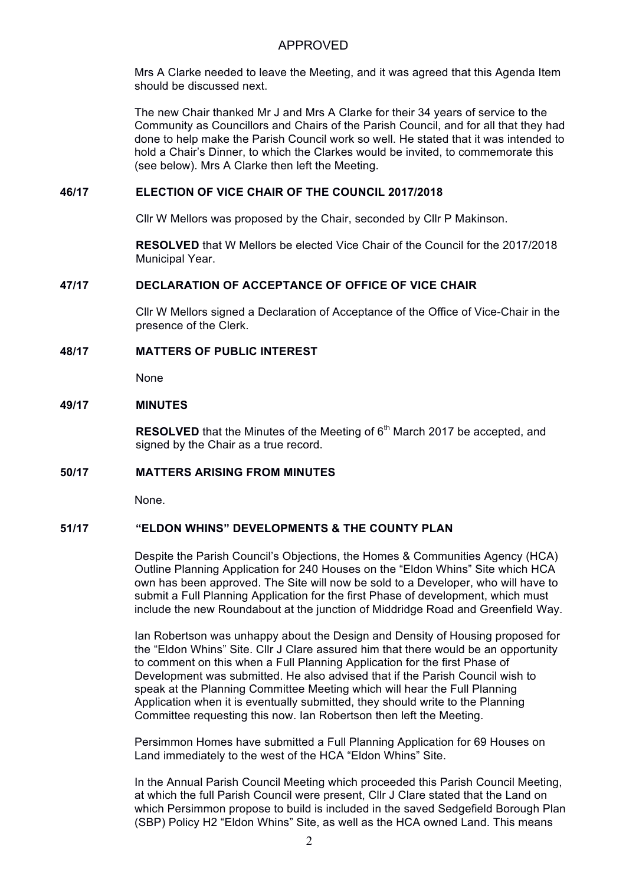Mrs A Clarke needed to leave the Meeting, and it was agreed that this Agenda Item should be discussed next.

The new Chair thanked Mr J and Mrs A Clarke for their 34 years of service to the Community as Councillors and Chairs of the Parish Council, and for all that they had done to help make the Parish Council work so well. He stated that it was intended to hold a Chair's Dinner, to which the Clarkes would be invited, to commemorate this (see below). Mrs A Clarke then left the Meeting.

#### **46/17 ELECTION OF VICE CHAIR OF THE COUNCIL 2017/2018**

Cllr W Mellors was proposed by the Chair, seconded by Cllr P Makinson.

**RESOLVED** that W Mellors be elected Vice Chair of the Council for the 2017/2018 Municipal Year.

# **47/17 DECLARATION OF ACCEPTANCE OF OFFICE OF VICE CHAIR**

Cllr W Mellors signed a Declaration of Acceptance of the Office of Vice-Chair in the presence of the Clerk.

# **48/17 MATTERS OF PUBLIC INTEREST**

None

#### **49/17 MINUTES**

**RESOLVED** that the Minutes of the Meeting of 6<sup>th</sup> March 2017 be accepted, and signed by the Chair as a true record.

# **50/17 MATTERS ARISING FROM MINUTES**

None.

#### **51/17 "ELDON WHINS" DEVELOPMENTS & THE COUNTY PLAN**

Despite the Parish Council's Objections, the Homes & Communities Agency (HCA) Outline Planning Application for 240 Houses on the "Eldon Whins" Site which HCA own has been approved. The Site will now be sold to a Developer, who will have to submit a Full Planning Application for the first Phase of development, which must include the new Roundabout at the junction of Middridge Road and Greenfield Way.

Ian Robertson was unhappy about the Design and Density of Housing proposed for the "Eldon Whins" Site. Cllr J Clare assured him that there would be an opportunity to comment on this when a Full Planning Application for the first Phase of Development was submitted. He also advised that if the Parish Council wish to speak at the Planning Committee Meeting which will hear the Full Planning Application when it is eventually submitted, they should write to the Planning Committee requesting this now. Ian Robertson then left the Meeting.

Persimmon Homes have submitted a Full Planning Application for 69 Houses on Land immediately to the west of the HCA "Eldon Whins" Site.

In the Annual Parish Council Meeting which proceeded this Parish Council Meeting, at which the full Parish Council were present, Cllr J Clare stated that the Land on which Persimmon propose to build is included in the saved Sedgefield Borough Plan (SBP) Policy H2 "Eldon Whins" Site, as well as the HCA owned Land. This means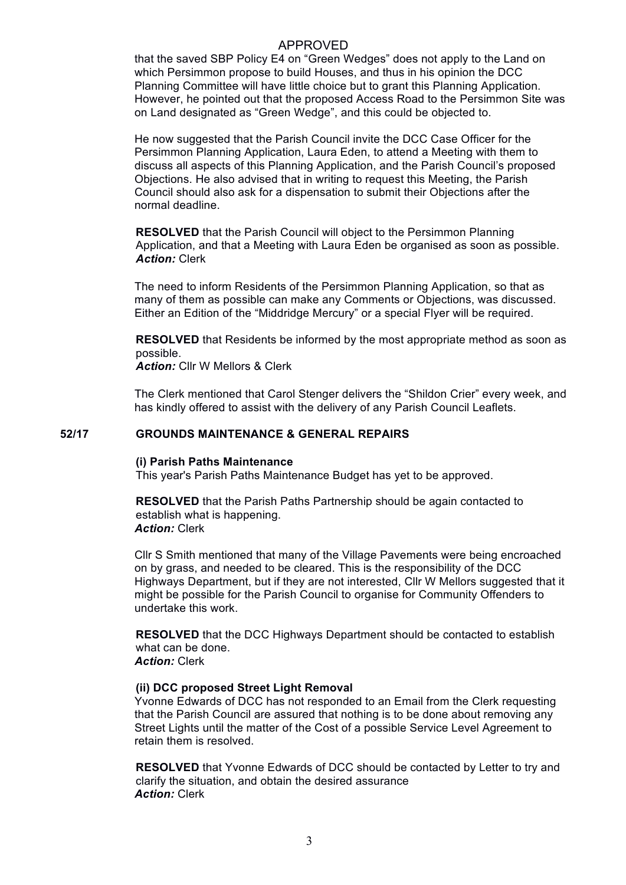that the saved SBP Policy E4 on "Green Wedges" does not apply to the Land on which Persimmon propose to build Houses, and thus in his opinion the DCC Planning Committee will have little choice but to grant this Planning Application. However, he pointed out that the proposed Access Road to the Persimmon Site was on Land designated as "Green Wedge", and this could be objected to.

He now suggested that the Parish Council invite the DCC Case Officer for the Persimmon Planning Application, Laura Eden, to attend a Meeting with them to discuss all aspects of this Planning Application, and the Parish Council's proposed Objections. He also advised that in writing to request this Meeting, the Parish Council should also ask for a dispensation to submit their Objections after the normal deadline.

**RESOLVED** that the Parish Council will object to the Persimmon Planning Application, and that a Meeting with Laura Eden be organised as soon as possible. *Action:* Clerk

The need to inform Residents of the Persimmon Planning Application, so that as many of them as possible can make any Comments or Objections, was discussed. Either an Edition of the "Middridge Mercury" or a special Flyer will be required.

**RESOLVED** that Residents be informed by the most appropriate method as soon as possible.

*Action:* Cllr W Mellors & Clerk

The Clerk mentioned that Carol Stenger delivers the "Shildon Crier" every week, and has kindly offered to assist with the delivery of any Parish Council Leaflets.

#### **52/17 GROUNDS MAINTENANCE & GENERAL REPAIRS**

#### **(i) Parish Paths Maintenance**

This year's Parish Paths Maintenance Budget has yet to be approved.

**RESOLVED** that the Parish Paths Partnership should be again contacted to establish what is happening. *Action:* Clerk

Cllr S Smith mentioned that many of the Village Pavements were being encroached on by grass, and needed to be cleared. This is the responsibility of the DCC Highways Department, but if they are not interested, Cllr W Mellors suggested that it might be possible for the Parish Council to organise for Community Offenders to undertake this work.

**RESOLVED** that the DCC Highways Department should be contacted to establish what can be done. *Action:* Clerk

#### **(ii) DCC proposed Street Light Removal**

Yvonne Edwards of DCC has not responded to an Email from the Clerk requesting that the Parish Council are assured that nothing is to be done about removing any Street Lights until the matter of the Cost of a possible Service Level Agreement to retain them is resolved.

**RESOLVED** that Yvonne Edwards of DCC should be contacted by Letter to try and clarify the situation, and obtain the desired assurance *Action:* Clerk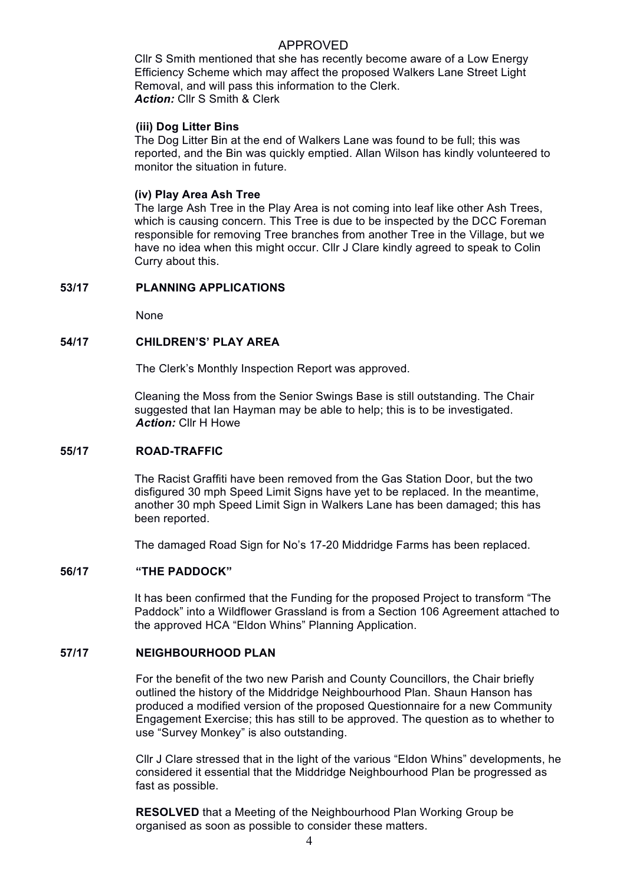Cllr S Smith mentioned that she has recently become aware of a Low Energy Efficiency Scheme which may affect the proposed Walkers Lane Street Light Removal, and will pass this information to the Clerk. *Action:* Cllr S Smith & Clerk

#### **(iii) Dog Litter Bins**

The Dog Litter Bin at the end of Walkers Lane was found to be full; this was reported, and the Bin was quickly emptied. Allan Wilson has kindly volunteered to monitor the situation in future.

#### **(iv) Play Area Ash Tree**

The large Ash Tree in the Play Area is not coming into leaf like other Ash Trees, which is causing concern. This Tree is due to be inspected by the DCC Foreman responsible for removing Tree branches from another Tree in the Village, but we have no idea when this might occur. Cllr J Clare kindly agreed to speak to Colin Curry about this.

#### **53/17 PLANNING APPLICATIONS**

None

#### **54/17 CHILDREN'S' PLAY AREA**

The Clerk's Monthly Inspection Report was approved.

Cleaning the Moss from the Senior Swings Base is still outstanding. The Chair suggested that Ian Hayman may be able to help; this is to be investigated. *Action:* Cllr H Howe

#### **55/17 ROAD-TRAFFIC**

The Racist Graffiti have been removed from the Gas Station Door, but the two disfigured 30 mph Speed Limit Signs have yet to be replaced. In the meantime, another 30 mph Speed Limit Sign in Walkers Lane has been damaged; this has been reported.

The damaged Road Sign for No's 17-20 Middridge Farms has been replaced.

#### **56/17 "THE PADDOCK"**

It has been confirmed that the Funding for the proposed Project to transform "The Paddock" into a Wildflower Grassland is from a Section 106 Agreement attached to the approved HCA "Eldon Whins" Planning Application.

#### **57/17 NEIGHBOURHOOD PLAN**

For the benefit of the two new Parish and County Councillors, the Chair briefly outlined the history of the Middridge Neighbourhood Plan. Shaun Hanson has produced a modified version of the proposed Questionnaire for a new Community Engagement Exercise; this has still to be approved. The question as to whether to use "Survey Monkey" is also outstanding.

Cllr J Clare stressed that in the light of the various "Eldon Whins" developments, he considered it essential that the Middridge Neighbourhood Plan be progressed as fast as possible.

**RESOLVED** that a Meeting of the Neighbourhood Plan Working Group be organised as soon as possible to consider these matters.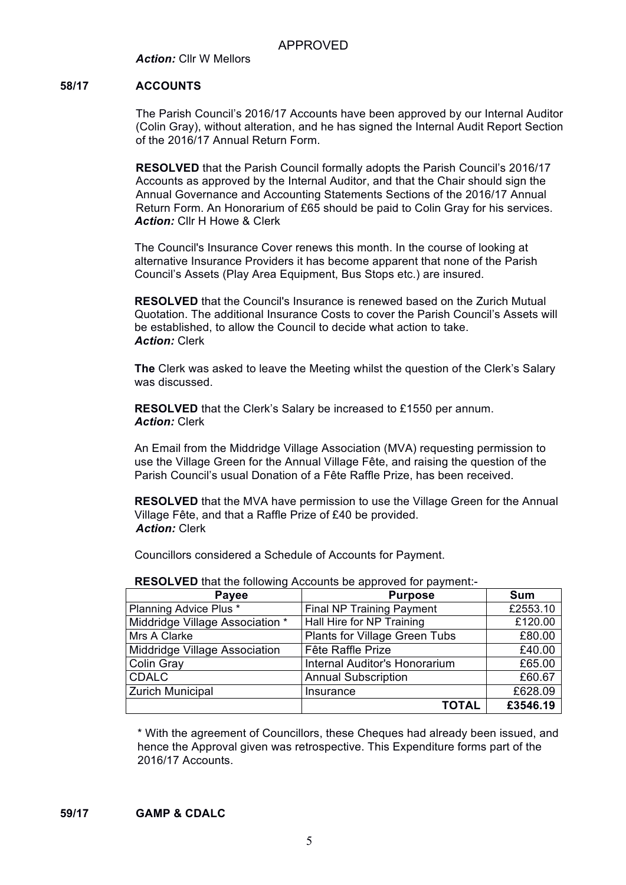*Action:* Cllr W Mellors

# **58/17 ACCOUNTS**

The Parish Council's 2016/17 Accounts have been approved by our Internal Auditor (Colin Gray), without alteration, and he has signed the Internal Audit Report Section of the 2016/17 Annual Return Form.

**RESOLVED** that the Parish Council formally adopts the Parish Council's 2016/17 Accounts as approved by the Internal Auditor, and that the Chair should sign the Annual Governance and Accounting Statements Sections of the 2016/17 Annual Return Form. An Honorarium of £65 should be paid to Colin Gray for his services. *Action:* Cllr H Howe & Clerk

The Council's Insurance Cover renews this month. In the course of looking at alternative Insurance Providers it has become apparent that none of the Parish Council's Assets (Play Area Equipment, Bus Stops etc.) are insured.

**RESOLVED** that the Council's Insurance is renewed based on the Zurich Mutual Quotation. The additional Insurance Costs to cover the Parish Council's Assets will be established, to allow the Council to decide what action to take. *Action:* Clerk

**The** Clerk was asked to leave the Meeting whilst the question of the Clerk's Salary was discussed.

**RESOLVED** that the Clerk's Salary be increased to £1550 per annum. *Action:* Clerk

An Email from the Middridge Village Association (MVA) requesting permission to use the Village Green for the Annual Village Fête, and raising the question of the Parish Council's usual Donation of a Fête Raffle Prize, has been received.

**RESOLVED** that the MVA have permission to use the Village Green for the Annual Village Fête, and that a Raffle Prize of £40 be provided. *Action:* Clerk

Councillors considered a Schedule of Accounts for Payment.

| <b>Payee</b>                    | <b>Purpose</b>                       | <b>Sum</b> |
|---------------------------------|--------------------------------------|------------|
| Planning Advice Plus *          | <b>Final NP Training Payment</b>     | £2553.10   |
| Middridge Village Association * | Hall Hire for NP Training            | £120.00    |
| Mrs A Clarke                    | <b>Plants for Village Green Tubs</b> | £80.00     |
| Middridge Village Association   | Fête Raffle Prize                    | £40.00     |
| Colin Gray                      | Internal Auditor's Honorarium        | £65.00     |
| <b>CDALC</b>                    | <b>Annual Subscription</b>           | £60.67     |
| <b>Zurich Municipal</b>         | Insurance                            | £628.09    |
|                                 | <b>TOTAL</b>                         | £3546.19   |

**RESOLVED** that the following Accounts be approved for payment:-

\* With the agreement of Councillors, these Cheques had already been issued, and hence the Approval given was retrospective. This Expenditure forms part of the 2016/17 Accounts.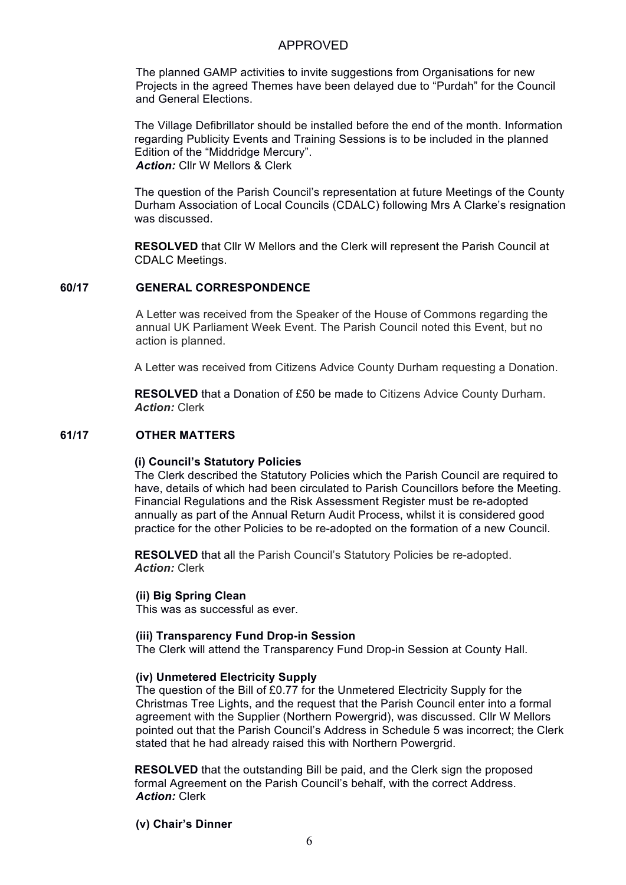The planned GAMP activities to invite suggestions from Organisations for new Projects in the agreed Themes have been delayed due to "Purdah" for the Council and General Elections.

The Village Defibrillator should be installed before the end of the month. Information regarding Publicity Events and Training Sessions is to be included in the planned Edition of the "Middridge Mercury". *Action:* Cllr W Mellors & Clerk

The question of the Parish Council's representation at future Meetings of the County Durham Association of Local Councils (CDALC) following Mrs A Clarke's resignation was discussed.

**RESOLVED** that Cllr W Mellors and the Clerk will represent the Parish Council at CDALC Meetings.

# **60/17 GENERAL CORRESPONDENCE**

A Letter was received from the Speaker of the House of Commons regarding the annual UK Parliament Week Event. The Parish Council noted this Event, but no action is planned.

A Letter was received from Citizens Advice County Durham requesting a Donation.

**RESOLVED** that a Donation of £50 be made to Citizens Advice County Durham. *Action:* Clerk

# **61/17 OTHER MATTERS**

#### **(i) Council's Statutory Policies**

The Clerk described the Statutory Policies which the Parish Council are required to have, details of which had been circulated to Parish Councillors before the Meeting. Financial Regulations and the Risk Assessment Register must be re-adopted annually as part of the Annual Return Audit Process, whilst it is considered good practice for the other Policies to be re-adopted on the formation of a new Council.

**RESOLVED** that all the Parish Council's Statutory Policies be re-adopted. *Action:* Clerk

#### **(ii) Big Spring Clean**

This was as successful as ever.

#### **(iii) Transparency Fund Drop-in Session**

The Clerk will attend the Transparency Fund Drop-in Session at County Hall.

#### **(iv) Unmetered Electricity Supply**

The question of the Bill of £0.77 for the Unmetered Electricity Supply for the Christmas Tree Lights, and the request that the Parish Council enter into a formal agreement with the Supplier (Northern Powergrid), was discussed. Cllr W Mellors pointed out that the Parish Council's Address in Schedule 5 was incorrect; the Clerk stated that he had already raised this with Northern Powergrid.

**RESOLVED** that the outstanding Bill be paid, and the Clerk sign the proposed formal Agreement on the Parish Council's behalf, with the correct Address. *Action:* Clerk

# **(v) Chair's Dinner**